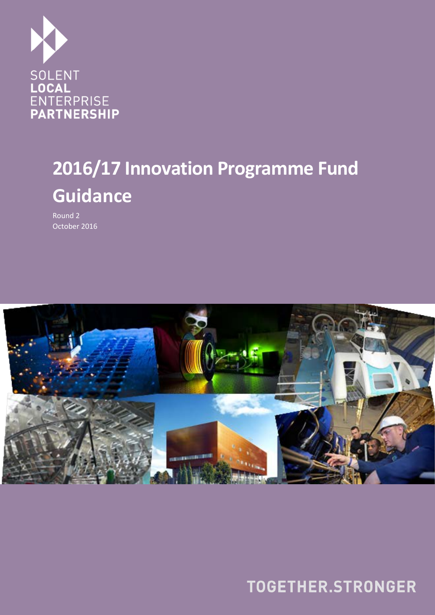

# **2016/17 Innovation Programme Fund Guidance**

Round 2 October 2016



TOGETHER.STRONGER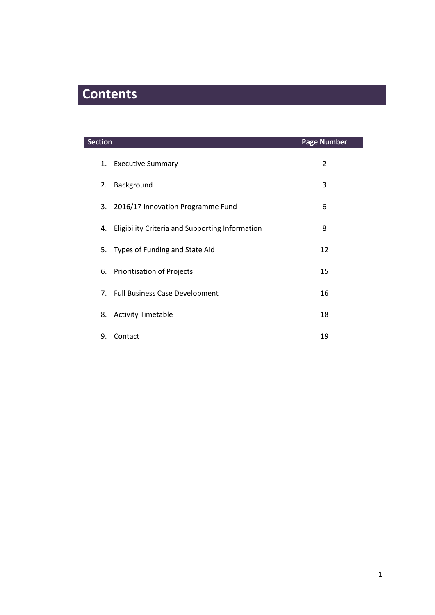# **Contents**

| Section          |                                                 | <b>Page Number</b> |
|------------------|-------------------------------------------------|--------------------|
| 1.               | <b>Executive Summary</b>                        | 2                  |
| Background<br>2. |                                                 | 3                  |
| 3.               | 2016/17 Innovation Programme Fund               | 6                  |
| 4.               | Eligibility Criteria and Supporting Information | 8                  |
|                  | 5. Types of Funding and State Aid               | 12                 |
|                  | 6. Prioritisation of Projects                   | 15                 |
|                  | 7. Full Business Case Development               | 16                 |
| 8.               | <b>Activity Timetable</b>                       | 18                 |
| 9.<br>Contact    |                                                 | 19                 |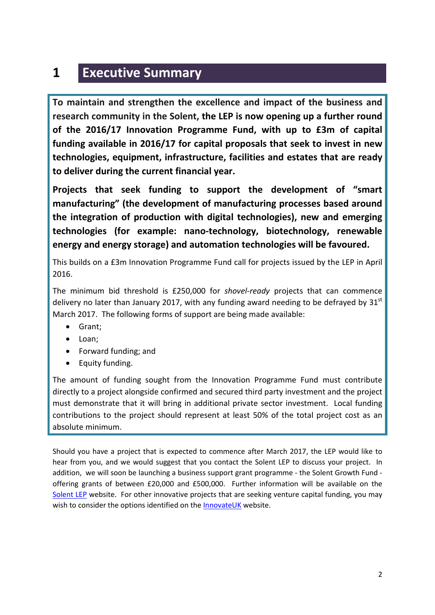### **1 Executive Summary**

**To maintain and strengthen the excellence and impact of the business and research community in the Solent, the LEP is now opening up a further round of the 2016/17 Innovation Programme Fund, with up to £3m of capital funding available in 2016/17 for capital proposals that seek to invest in new technologies, equipment, infrastructure, facilities and estates that are ready to deliver during the current financial year.** 

**Projects that seek funding to support the development of "smart manufacturing" (the development of manufacturing processes based around the integration of production with digital technologies), new and emerging technologies (for example: nano-technology, biotechnology, renewable energy and energy storage) and automation technologies will be favoured.**

This builds on a £3m Innovation Programme Fund call for projects issued by the LEP in April 2016.

The minimum bid threshold is £250,000 for *shovel-ready* projects that can commence delivery no later than January 2017, with any funding award needing to be defrayed by  $31<sup>st</sup>$ March 2017. The following forms of support are being made available:

- Grant;
- Loan;
- Forward funding; and
- Equity funding.

The amount of funding sought from the Innovation Programme Fund must contribute directly to a project alongside confirmed and secured third party investment and the project must demonstrate that it will bring in additional private sector investment. Local funding contributions to the project should represent at least 50% of the total project cost as an absolute minimum.

Should you have a project that is expected to commence after March 2017, the LEP would like to hear from you, and we would suggest that you contact the Solent LEP to discuss your project. In addition, we will soon be launching a business support grant programme - the Solent Growth Fund offering grants of between £20,000 and £500,000. Further information will be available on the [Solent LEP](http://solentlep.org.uk/) website. For other innovative projects that are seeking venture capital funding, you may wish to consider the options identified on the [InnovateUK](https://www.gov.uk/government/organisations/innovate-uk) website.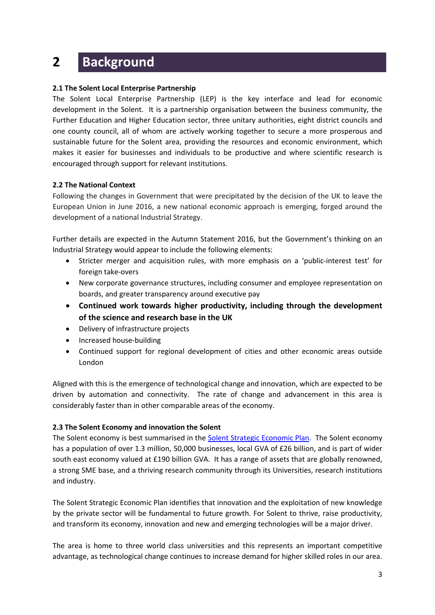### **2 Background**

#### **2.1 The Solent Local Enterprise Partnership**

The Solent Local Enterprise Partnership (LEP) is the key interface and lead for economic development in the Solent. It is a partnership organisation between the business community, the Further Education and Higher Education sector, three unitary authorities, eight district councils and one county council, all of whom are actively working together to secure a more prosperous and sustainable future for the Solent area, providing the resources and economic environment, which makes it easier for businesses and individuals to be productive and where scientific research is encouraged through support for relevant institutions.

#### **2.2 The National Context**

Following the changes in Government that were precipitated by the decision of the UK to leave the European Union in June 2016, a new national economic approach is emerging, forged around the development of a national Industrial Strategy.

Further details are expected in the Autumn Statement 2016, but the Government's thinking on an Industrial Strategy would appear to include the following elements:

- Stricter merger and acquisition rules, with more emphasis on a 'public-interest test' for foreign take-overs
- New corporate governance structures, including consumer and employee representation on boards, and greater transparency around executive pay
- **Continued work towards higher productivity, including through the development of the science and research base in the UK**
- Delivery of infrastructure projects
- Increased house-building
- Continued support for regional development of cities and other economic areas outside London

Aligned with this is the emergence of technological change and innovation, which are expected to be driven by automation and connectivity. The rate of change and advancement in this area is considerably faster than in other comparable areas of the economy.

#### **2.3 The Solent Economy and innovation the Solent**

The Solent economy is best summarised in th[e Solent Strategic Economic Plan.](http://solentlep.org.uk/uploads/documents/Solent_Strategic_Economic_Plan.pdf) The Solent economy has a population of over 1.3 million, 50,000 businesses, local GVA of £26 billion, and is part of wider south east economy valued at £190 billion GVA. It has a range of assets that are globally renowned, a strong SME base, and a thriving research community through its Universities, research institutions and industry.

The Solent Strategic Economic Plan identifies that innovation and the exploitation of new knowledge by the private sector will be fundamental to future growth. For Solent to thrive, raise productivity, and transform its economy, innovation and new and emerging technologies will be a major driver.

The area is home to three world class universities and this represents an important competitive advantage, as technological change continues to increase demand for higher skilled roles in our area.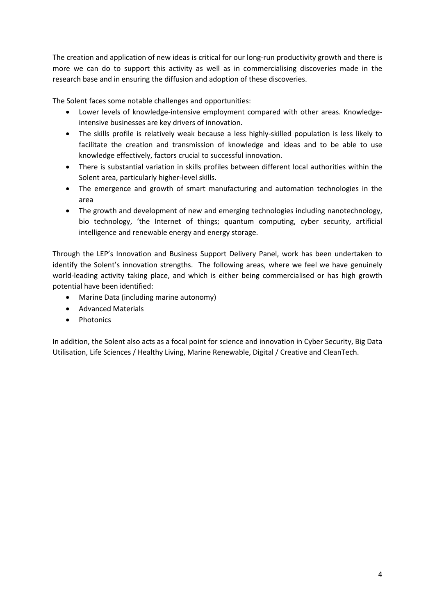The creation and application of new ideas is critical for our long-run productivity growth and there is more we can do to support this activity as well as in commercialising discoveries made in the research base and in ensuring the diffusion and adoption of these discoveries.

The Solent faces some notable challenges and opportunities:

- Lower levels of knowledge-intensive employment compared with other areas. Knowledgeintensive businesses are key drivers of innovation.
- The skills profile is relatively weak because a less highly-skilled population is less likely to facilitate the creation and transmission of knowledge and ideas and to be able to use knowledge effectively, factors crucial to successful innovation.
- There is substantial variation in skills profiles between different local authorities within the Solent area, particularly higher-level skills.
- The emergence and growth of smart manufacturing and automation technologies in the area
- The growth and development of new and emerging technologies including nanotechnology, bio technology, 'the Internet of things; quantum computing, cyber security, artificial intelligence and renewable energy and energy storage.

Through the LEP's Innovation and Business Support Delivery Panel, work has been undertaken to identify the Solent's innovation strengths. The following areas, where we feel we have genuinely world-leading activity taking place, and which is either being commercialised or has high growth potential have been identified:

- Marine Data (including marine autonomy)
- Advanced Materials
- Photonics

In addition, the Solent also acts as a focal point for science and innovation in Cyber Security, Big Data Utilisation, Life Sciences / Healthy Living, Marine Renewable, Digital / Creative and CleanTech.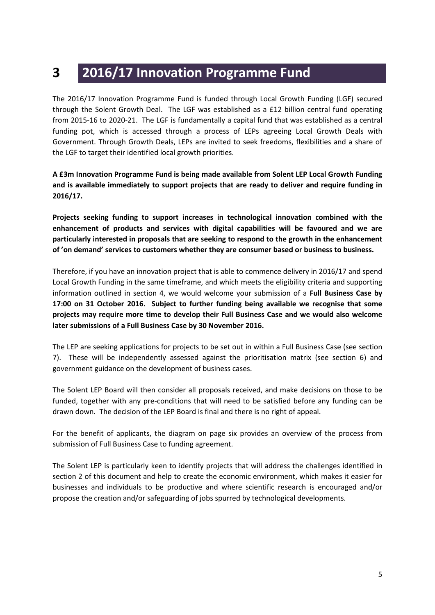### **3 2016/17 Innovation Programme Fund**

The 2016/17 Innovation Programme Fund is funded through Local Growth Funding (LGF) secured through the Solent Growth Deal. The LGF was established as a £12 billion central fund operating from 2015-16 to 2020-21. The LGF is fundamentally a capital fund that was established as a central funding pot, which is accessed through a process of LEPs agreeing Local Growth Deals with Government. Through Growth Deals, LEPs are invited to seek freedoms, flexibilities and a share of the LGF to target their identified local growth priorities.

**A £3m Innovation Programme Fund is being made available from Solent LEP Local Growth Funding and is available immediately to support projects that are ready to deliver and require funding in 2016/17.**

**Projects seeking funding to support increases in technological innovation combined with the enhancement of products and services with digital capabilities will be favoured and we are particularly interested in proposals that are seeking to respond to the growth in the enhancement of 'on demand' services to customers whether they are consumer based or business to business.**

Therefore, if you have an innovation project that is able to commence delivery in 2016/17 and spend Local Growth Funding in the same timeframe, and which meets the eligibility criteria and supporting information outlined in section 4, we would welcome your submission of a **Full Business Case by 17:00 on 31 October 2016. Subject to further funding being available we recognise that some projects may require more time to develop their Full Business Case and we would also welcome later submissions of a Full Business Case by 30 November 2016.**

The LEP are seeking applications for projects to be set out in within a Full Business Case (see section 7). These will be independently assessed against the prioritisation matrix (see section 6) and government guidance on the development of business cases.

The Solent LEP Board will then consider all proposals received, and make decisions on those to be funded, together with any pre-conditions that will need to be satisfied before any funding can be drawn down. The decision of the LEP Board is final and there is no right of appeal.

For the benefit of applicants, the diagram on page six provides an overview of the process from submission of Full Business Case to funding agreement.

The Solent LEP is particularly keen to identify projects that will address the challenges identified in section 2 of this document and help to create the economic environment, which makes it easier for businesses and individuals to be productive and where scientific research is encouraged and/or propose the creation and/or safeguarding of jobs spurred by technological developments.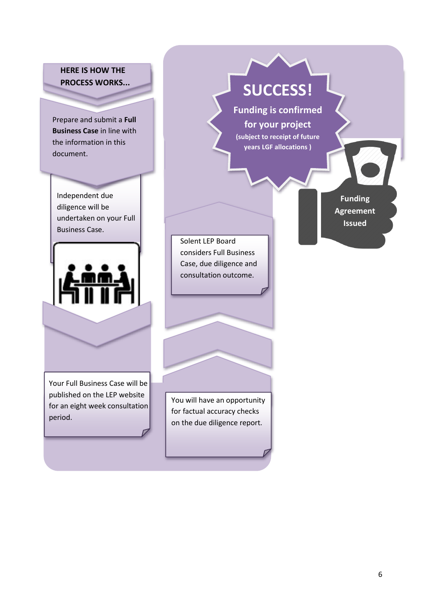**HERE IS HOW THE PROCESS WORKS...**

Prepare and submit a **Full Business Case** in line with the information in this document.

Independent due diligence will be undertaken on your Full Business Case.



Your Full Business Case will be published on the LEP website for an eight week consultation period.

**SUCCESS!**

**Funding is confirmed for your project (subject to receipt of future years LGF allocations )**

> **Funding Agreement Issued**

Solent LEP Board considers Full Business Case, due diligence and consultation outcome.

You will have an opportunity for factual accuracy checks on the due diligence report.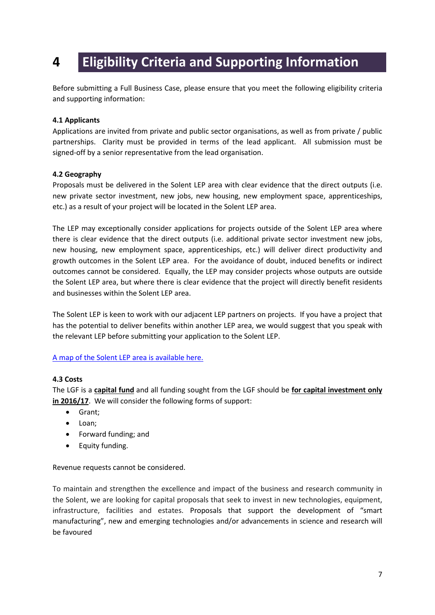### **4 Eligibility Criteria and Supporting Information**

Before submitting a Full Business Case, please ensure that you meet the following eligibility criteria and supporting information:

#### **4.1 Applicants**

Applications are invited from private and public sector organisations, as well as from private / public partnerships. Clarity must be provided in terms of the lead applicant. All submission must be signed-off by a senior representative from the lead organisation.

#### **4.2 Geography**

Proposals must be delivered in the Solent LEP area with clear evidence that the direct outputs (i.e. new private sector investment, new jobs, new housing, new employment space, apprenticeships, etc.) as a result of your project will be located in the Solent LEP area.

The LEP may exceptionally consider applications for projects outside of the Solent LEP area where there is clear evidence that the direct outputs (i.e. additional private sector investment new jobs, new housing, new employment space, apprenticeships, etc.) will deliver direct productivity and growth outcomes in the Solent LEP area. For the avoidance of doubt, induced benefits or indirect outcomes cannot be considered. Equally, the LEP may consider projects whose outputs are outside the Solent LEP area, but where there is clear evidence that the project will directly benefit residents and businesses within the Solent LEP area.

The Solent LEP is keen to work with our adjacent LEP partners on projects. If you have a project that has the potential to deliver benefits within another LEP area, we would suggest that you speak with the relevant LEP before submitting your application to the Solent LEP.

#### [A map of the Solent LEP area is available here.](http://solentlep.org.uk/about)

#### **4.3 Costs**

The LGF is a **capital fund** and all funding sought from the LGF should be **for capital investment only in 2016/17**. We will consider the following forms of support:

- Grant;
- Loan;
- Forward funding; and
- Equity funding.

Revenue requests cannot be considered.

To maintain and strengthen the excellence and impact of the business and research community in the Solent, we are looking for capital proposals that seek to invest in new technologies, equipment, infrastructure, facilities and estates. Proposals that support the development of "smart manufacturing", new and emerging technologies and/or advancements in science and research will be favoured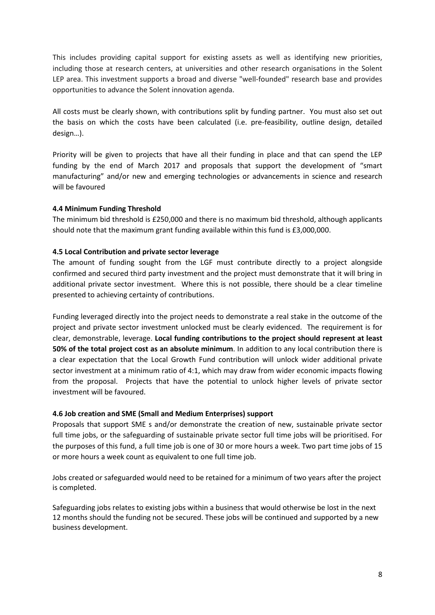This includes providing capital support for existing assets as well as identifying new priorities, including those at research centers, at universities and other research organisations in the Solent LEP area. This investment supports a broad and diverse "well-founded" research base and provides opportunities to advance the Solent innovation agenda.

All costs must be clearly shown, with contributions split by funding partner. You must also set out the basis on which the costs have been calculated (i.e. pre-feasibility, outline design, detailed design…).

Priority will be given to projects that have all their funding in place and that can spend the LEP funding by the end of March 2017 and proposals that support the development of "smart manufacturing" and/or new and emerging technologies or advancements in science and research will be favoured

#### **4.4 Minimum Funding Threshold**

The minimum bid threshold is £250,000 and there is no maximum bid threshold, although applicants should note that the maximum grant funding available within this fund is £3,000,000.

#### **4.5 Local Contribution and private sector leverage**

The amount of funding sought from the LGF must contribute directly to a project alongside confirmed and secured third party investment and the project must demonstrate that it will bring in additional private sector investment. Where this is not possible, there should be a clear timeline presented to achieving certainty of contributions.

Funding leveraged directly into the project needs to demonstrate a real stake in the outcome of the project and private sector investment unlocked must be clearly evidenced. The requirement is for clear, demonstrable, leverage. **Local funding contributions to the project should represent at least 50% of the total project cost as an absolute minimum**. In addition to any local contribution there is a clear expectation that the Local Growth Fund contribution will unlock wider additional private sector investment at a minimum ratio of 4:1, which may draw from wider economic impacts flowing from the proposal. Projects that have the potential to unlock higher levels of private sector investment will be favoured.

#### **4.6 Job creation and SME (Small and Medium Enterprises) support**

Proposals that support SME s and/or demonstrate the creation of new, sustainable private sector full time jobs, or the safeguarding of sustainable private sector full time jobs will be prioritised. For the purposes of this fund, a full time job is one of 30 or more hours a week. Two part time jobs of 15 or more hours a week count as equivalent to one full time job.

Jobs created or safeguarded would need to be retained for a minimum of two years after the project is completed.

Safeguarding jobs relates to existing jobs within a business that would otherwise be lost in the next 12 months should the funding not be secured. These jobs will be continued and supported by a new business development.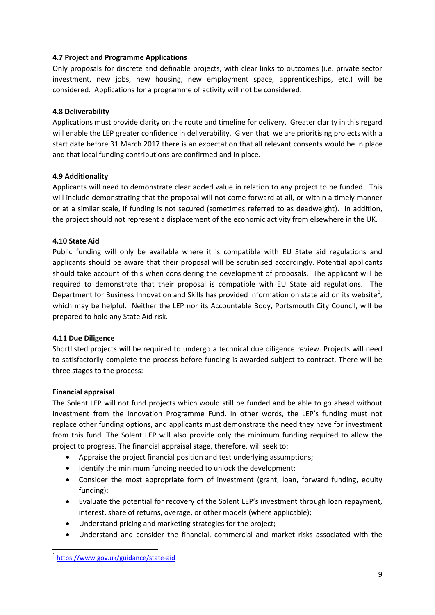#### **4.7 Project and Programme Applications**

Only proposals for discrete and definable projects, with clear links to outcomes (i.e. private sector investment, new jobs, new housing, new employment space, apprenticeships, etc.) will be considered. Applications for a programme of activity will not be considered.

#### **4.8 Deliverability**

Applications must provide clarity on the route and timeline for delivery. Greater clarity in this regard will enable the LEP greater confidence in deliverability. Given that we are prioritising projects with a start date before 31 March 2017 there is an expectation that all relevant consents would be in place and that local funding contributions are confirmed and in place.

#### **4.9 Additionality**

Applicants will need to demonstrate clear added value in relation to any project to be funded. This will include demonstrating that the proposal will not come forward at all, or within a timely manner or at a similar scale, if funding is not secured (sometimes referred to as deadweight). In addition, the project should not represent a displacement of the economic activity from elsewhere in the UK.

#### **4.10 State Aid**

Public funding will only be available where it is compatible with EU State aid regulations and applicants should be aware that their proposal will be scrutinised accordingly. Potential applicants should take account of this when considering the development of proposals. The applicant will be required to demonstrate that their proposal is compatible with EU State aid regulations. The Department for Business Innovation and Skills has provided information on state aid on its website<sup>[1](#page-9-0)</sup>, which may be helpful. Neither the LEP nor its Accountable Body, Portsmouth City Council, will be prepared to hold any State Aid risk.

#### **4.11 Due Diligence**

Shortlisted projects will be required to undergo a technical due diligence review. Projects will need to satisfactorily complete the process before funding is awarded subject to contract. There will be three stages to the process:

#### **Financial appraisal**

The Solent LEP will not fund projects which would still be funded and be able to go ahead without investment from the Innovation Programme Fund. In other words, the LEP's funding must not replace other funding options, and applicants must demonstrate the need they have for investment from this fund. The Solent LEP will also provide only the minimum funding required to allow the project to progress. The financial appraisal stage, therefore, will seek to:

- Appraise the project financial position and test underlying assumptions;
- Identify the minimum funding needed to unlock the development;
- Consider the most appropriate form of investment (grant, loan, forward funding, equity funding);
- Evaluate the potential for recovery of the Solent LEP's investment through loan repayment, interest, share of returns, overage, or other models (where applicable);
- Understand pricing and marketing strategies for the project;
- Understand and consider the financial, commercial and market risks associated with the

<span id="page-9-0"></span> <sup>1</sup> <https://www.gov.uk/guidance/state-aid>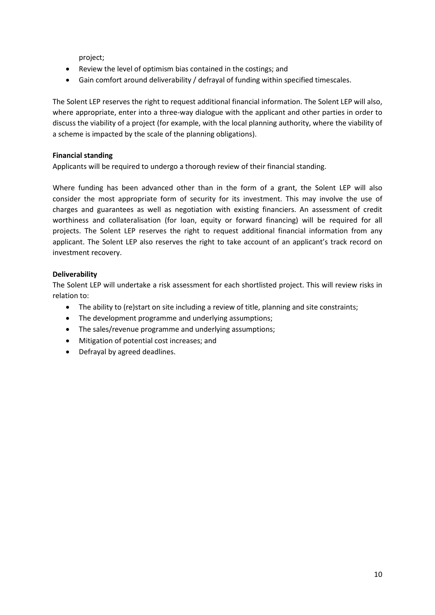project;

- Review the level of optimism bias contained in the costings; and
- Gain comfort around deliverability / defrayal of funding within specified timescales.

The Solent LEP reserves the right to request additional financial information. The Solent LEP will also, where appropriate, enter into a three-way dialogue with the applicant and other parties in order to discuss the viability of a project (for example, with the local planning authority, where the viability of a scheme is impacted by the scale of the planning obligations).

#### **Financial standing**

Applicants will be required to undergo a thorough review of their financial standing.

Where funding has been advanced other than in the form of a grant, the Solent LEP will also consider the most appropriate form of security for its investment. This may involve the use of charges and guarantees as well as negotiation with existing financiers. An assessment of credit worthiness and collateralisation (for loan, equity or forward financing) will be required for all projects. The Solent LEP reserves the right to request additional financial information from any applicant. The Solent LEP also reserves the right to take account of an applicant's track record on investment recovery.

#### **Deliverability**

The Solent LEP will undertake a risk assessment for each shortlisted project. This will review risks in relation to:

- The ability to (re)start on site including a review of title, planning and site constraints;
- The development programme and underlying assumptions;
- The sales/revenue programme and underlying assumptions;
- Mitigation of potential cost increases; and
- Defrayal by agreed deadlines.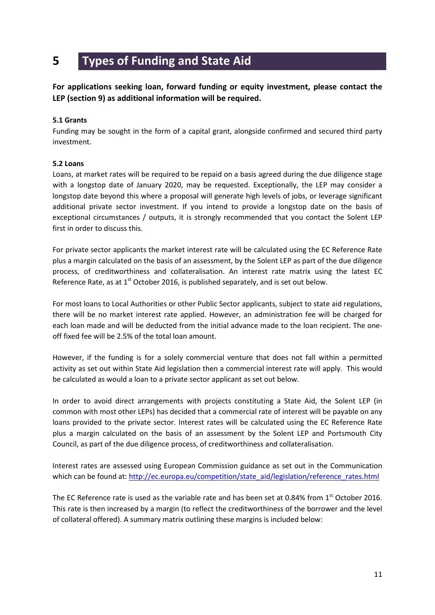### **5 Types of Funding and State Aid**

**For applications seeking loan, forward funding or equity investment, please contact the LEP (section 9) as additional information will be required.**

#### **5.1 Grants**

Funding may be sought in the form of a capital grant, alongside confirmed and secured third party investment.

#### **5.2 Loans**

Loans, at market rates will be required to be repaid on a basis agreed during the due diligence stage with a longstop date of January 2020, may be requested. Exceptionally, the LEP may consider a longstop date beyond this where a proposal will generate high levels of jobs, or leverage significant additional private sector investment. If you intend to provide a longstop date on the basis of exceptional circumstances / outputs, it is strongly recommended that you contact the Solent LEP first in order to discuss this.

For private sector applicants the market interest rate will be calculated using the EC Reference Rate plus a margin calculated on the basis of an assessment, by the Solent LEP as part of the due diligence process, of creditworthiness and collateralisation. An interest rate matrix using the latest EC Reference Rate, as at  $1<sup>st</sup>$  October 2016, is published separately, and is set out below.

For most loans to Local Authorities or other Public Sector applicants, subject to state aid regulations, there will be no market interest rate applied. However, an administration fee will be charged for each loan made and will be deducted from the initial advance made to the loan recipient. The oneoff fixed fee will be 2.5% of the total loan amount.

However, if the funding is for a solely commercial venture that does not fall within a permitted activity as set out within State Aid legislation then a commercial interest rate will apply. This would be calculated as would a loan to a private sector applicant as set out below.

In order to avoid direct arrangements with projects constituting a State Aid, the Solent LEP (in common with most other LEPs) has decided that a commercial rate of interest will be payable on any loans provided to the private sector. Interest rates will be calculated using the EC Reference Rate plus a margin calculated on the basis of an assessment by the Solent LEP and Portsmouth City Council, as part of the due diligence process, of creditworthiness and collateralisation.

Interest rates are assessed using European Commission guidance as set out in the Communication which can be found at: [http://ec.europa.eu/competition/state\\_aid/legislation/reference\\_rates.html](http://ec.europa.eu/competition/state_aid/legislation/reference_rates.html)

The EC Reference rate is used as the variable rate and has been set at 0.84% from  $1<sup>st</sup>$  October 2016. This rate is then increased by a margin (to reflect the creditworthiness of the borrower and the level of collateral offered). A summary matrix outlining these margins is included below: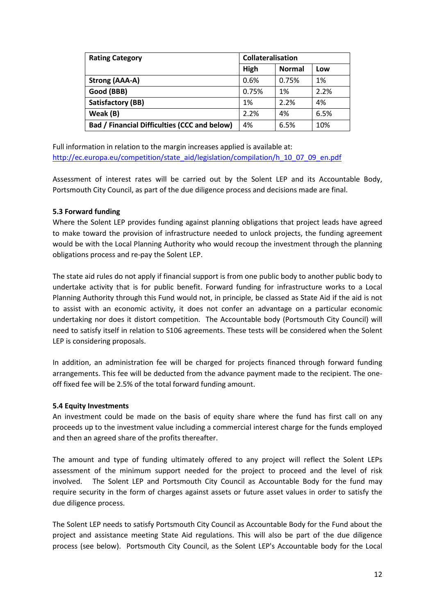| <b>Rating Category</b>                       | <b>Collateralisation</b> |               |      |
|----------------------------------------------|--------------------------|---------------|------|
|                                              | High                     | <b>Normal</b> | Low  |
| Strong (AAA-A)                               | 0.6%                     | 0.75%         | 1%   |
| Good (BBB)                                   | 0.75%                    | 1%            | 2.2% |
| <b>Satisfactory (BB)</b>                     | 1%                       | 2.2%          | 4%   |
| Weak (B)                                     | 2.2%                     | 4%            | 6.5% |
| Bad / Financial Difficulties (CCC and below) | 4%                       | 6.5%          | 10%  |

Full information in relation to the margin increases applied is available at: [http://ec.europa.eu/competition/state\\_aid/legislation/compilation/h\\_10\\_07\\_09\\_en.pdf](http://ec.europa.eu/competition/state_aid/legislation/compilation/h_10_07_09_en.pdf)

Assessment of interest rates will be carried out by the Solent LEP and its Accountable Body, Portsmouth City Council, as part of the due diligence process and decisions made are final.

#### **5.3 Forward funding**

Where the Solent LEP provides funding against planning obligations that project leads have agreed to make toward the provision of infrastructure needed to unlock projects, the funding agreement would be with the Local Planning Authority who would recoup the investment through the planning obligations process and re-pay the Solent LEP.

The state aid rules do not apply if financial support is from one public body to another public body to undertake activity that is for public benefit. Forward funding for infrastructure works to a Local Planning Authority through this Fund would not, in principle, be classed as State Aid if the aid is not to assist with an economic activity, it does not confer an advantage on a particular economic undertaking nor does it distort competition. The Accountable body (Portsmouth City Council) will need to satisfy itself in relation to S106 agreements. These tests will be considered when the Solent LEP is considering proposals.

In addition, an administration fee will be charged for projects financed through forward funding arrangements. This fee will be deducted from the advance payment made to the recipient. The oneoff fixed fee will be 2.5% of the total forward funding amount.

#### **5.4 Equity Investments**

An investment could be made on the basis of equity share where the fund has first call on any proceeds up to the investment value including a commercial interest charge for the funds employed and then an agreed share of the profits thereafter.

The amount and type of funding ultimately offered to any project will reflect the Solent LEPs assessment of the minimum support needed for the project to proceed and the level of risk involved. The Solent LEP and Portsmouth City Council as Accountable Body for the fund may require security in the form of charges against assets or future asset values in order to satisfy the due diligence process.

The Solent LEP needs to satisfy Portsmouth City Council as Accountable Body for the Fund about the project and assistance meeting State Aid regulations. This will also be part of the due diligence process (see below). Portsmouth City Council, as the Solent LEP's Accountable body for the Local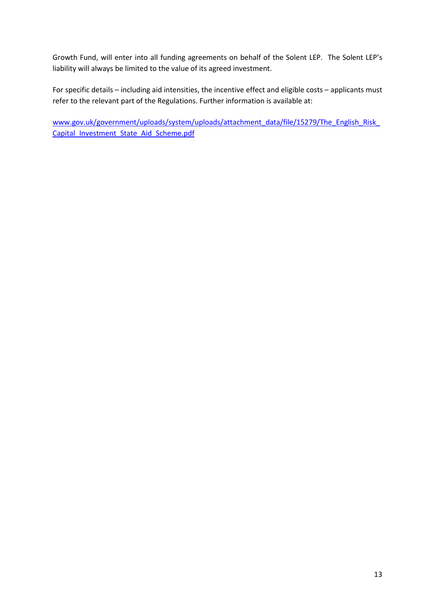Growth Fund, will enter into all funding agreements on behalf of the Solent LEP. The Solent LEP's liability will always be limited to the value of its agreed investment.

For specific details – including aid intensities, the incentive effect and eligible costs – applicants must refer to the relevant part of the Regulations. Further information is available at:

[www.gov.uk/government/uploads/system/uploads/attachment\\_data/file/15279/The\\_English\\_Risk\\_](http://www.gov.uk/government/uploads/system/uploads/attachment_data/file/15279/The_English_Risk_Capital_Investment_State_Aid_Scheme.pdf) [Capital\\_Investment\\_State\\_Aid\\_Scheme.pdf](http://www.gov.uk/government/uploads/system/uploads/attachment_data/file/15279/The_English_Risk_Capital_Investment_State_Aid_Scheme.pdf)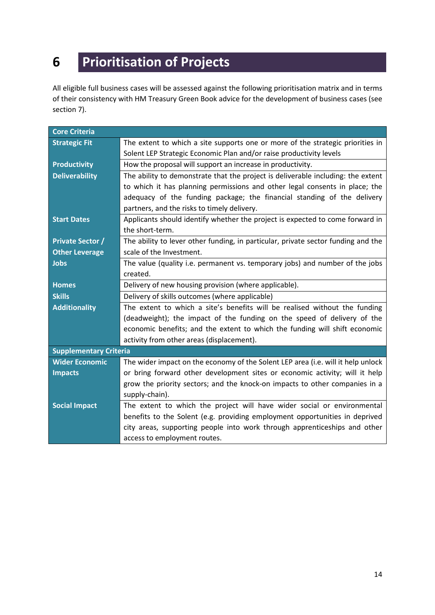# **6 Prioritisation of Projects**

All eligible full business cases will be assessed against the following prioritisation matrix and in terms of their consistency with HM Treasury Green Book advice for the development of business cases (see section 7).

| <b>Core Criteria</b>          |                                                                                   |  |  |  |
|-------------------------------|-----------------------------------------------------------------------------------|--|--|--|
| <b>Strategic Fit</b>          | The extent to which a site supports one or more of the strategic priorities in    |  |  |  |
|                               | Solent LEP Strategic Economic Plan and/or raise productivity levels               |  |  |  |
| <b>Productivity</b>           | How the proposal will support an increase in productivity.                        |  |  |  |
| <b>Deliverability</b>         | The ability to demonstrate that the project is deliverable including: the extent  |  |  |  |
|                               | to which it has planning permissions and other legal consents in place; the       |  |  |  |
|                               | adequacy of the funding package; the financial standing of the delivery           |  |  |  |
|                               | partners, and the risks to timely delivery.                                       |  |  |  |
| <b>Start Dates</b>            | Applicants should identify whether the project is expected to come forward in     |  |  |  |
|                               | the short-term.                                                                   |  |  |  |
| <b>Private Sector /</b>       | The ability to lever other funding, in particular, private sector funding and the |  |  |  |
| <b>Other Leverage</b>         | scale of the Investment.                                                          |  |  |  |
| <b>Jobs</b>                   | The value (quality i.e. permanent vs. temporary jobs) and number of the jobs      |  |  |  |
|                               | created.                                                                          |  |  |  |
| <b>Homes</b>                  | Delivery of new housing provision (where applicable).                             |  |  |  |
| <b>Skills</b>                 | Delivery of skills outcomes (where applicable)                                    |  |  |  |
| <b>Additionality</b>          | The extent to which a site's benefits will be realised without the funding        |  |  |  |
|                               | (deadweight); the impact of the funding on the speed of delivery of the           |  |  |  |
|                               | economic benefits; and the extent to which the funding will shift economic        |  |  |  |
|                               | activity from other areas (displacement).                                         |  |  |  |
| <b>Supplementary Criteria</b> |                                                                                   |  |  |  |
| <b>Wider Economic</b>         | The wider impact on the economy of the Solent LEP area (i.e. will it help unlock  |  |  |  |
| <b>Impacts</b>                | or bring forward other development sites or economic activity; will it help       |  |  |  |
|                               | grow the priority sectors; and the knock-on impacts to other companies in a       |  |  |  |
|                               | supply-chain).                                                                    |  |  |  |
| <b>Social Impact</b>          | The extent to which the project will have wider social or environmental           |  |  |  |
|                               | benefits to the Solent (e.g. providing employment opportunities in deprived       |  |  |  |
|                               | city areas, supporting people into work through apprenticeships and other         |  |  |  |
|                               | access to employment routes.                                                      |  |  |  |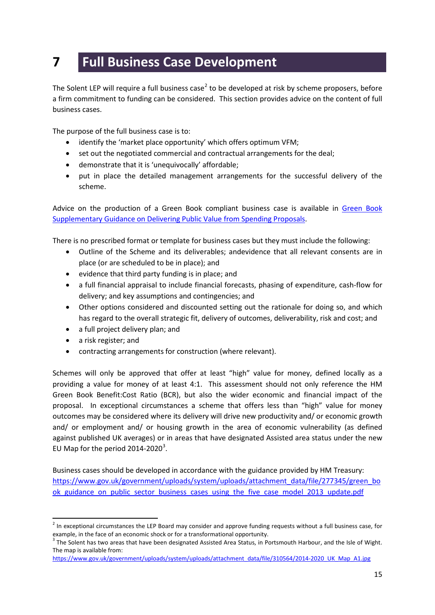### **7 Full Business Case Development**

The Solent LEP will require a full business case<sup>[2](#page-15-0)</sup> to be developed at risk by scheme proposers, before a firm commitment to funding can be considered. This section provides advice on the content of full business cases.

The purpose of the full business case is to:

- identify the 'market place opportunity' which offers optimum VFM;
- set out the negotiated commercial and contractual arrangements for the deal;
- demonstrate that it is 'unequivocally' affordable;
- put in place the detailed management arrangements for the successful delivery of the scheme.

Advice on the production of a Green Book compliant business case is available in [Green Book](https://www.gov.uk/government/uploads/system/uploads/attachment_data/file/469317/green_book_guidance_public_sector_business_cases_2015_update.pdf)  [Supplementary Guidance on Delivering Public Value from Spending Proposals.](https://www.gov.uk/government/uploads/system/uploads/attachment_data/file/469317/green_book_guidance_public_sector_business_cases_2015_update.pdf)

There is no prescribed format or template for business cases but they must include the following:

- Outline of the Scheme and its deliverables; andevidence that all relevant consents are in place (or are scheduled to be in place); and
- evidence that third party funding is in place; and
- a full financial appraisal to include financial forecasts, phasing of expenditure, cash-flow for delivery; and key assumptions and contingencies; and
- Other options considered and discounted setting out the rationale for doing so, and which has regard to the overall strategic fit, delivery of outcomes, deliverability, risk and cost; and
- a full project delivery plan; and
- a risk register; and
- contracting arrangements for construction (where relevant).

Schemes will only be approved that offer at least "high" value for money, defined locally as a providing a value for money of at least 4:1. This assessment should not only reference the HM Green Book Benefit:Cost Ratio (BCR), but also the wider economic and financial impact of the proposal. In exceptional circumstances a scheme that offers less than "high" value for money outcomes may be considered where its delivery will drive new productivity and/ or economic growth and/ or employment and/ or housing growth in the area of economic vulnerability (as defined against published UK averages) or in areas that have designated Assisted area status under the new EU Map for the period 2014-2020 $^3$  $^3$ .

Business cases should be developed in accordance with the guidance provided by HM Treasury: [https://www.gov.uk/government/uploads/system/uploads/attachment\\_data/file/277345/green\\_bo](https://www.gov.uk/government/uploads/system/uploads/attachment_data/file/277345/green_book_guidance_on_public_sector_business_cases_using_the_five_case_model_2013_update.pdf) ok guidance on public sector business cases using the five case model 2013 update.pdf

<span id="page-15-0"></span> $2$  In exceptional circumstances the LEP Board may consider and approve funding requests without a full business case, for example, in the face of an economic shock or for a transformational opportunity.

<span id="page-15-1"></span> $3$  The Solent has two areas that have been designated Assisted Area Status, in Portsmouth Harbour, and the Isle of Wight. The map is available from:

[https://www.gov.uk/government/uploads/system/uploads/attachment\\_data/file/310564/2014-2020\\_UK\\_Map\\_A1.jpg](https://www.gov.uk/government/uploads/system/uploads/attachment_data/file/310564/2014-2020_UK_Map_A1.jpg)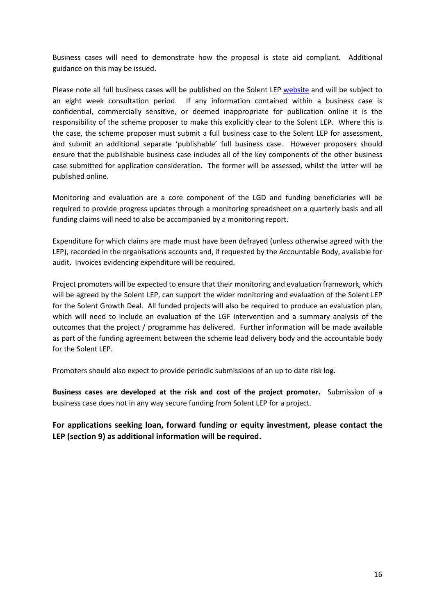Business cases will need to demonstrate how the proposal is state aid compliant. Additional guidance on this may be issued.

Please note all full business cases will be published on the Solent LEP [website](http://solentlep.org.uk/) and will be subject to an eight week consultation period. If any information contained within a business case is confidential, commercially sensitive, or deemed inappropriate for publication online it is the responsibility of the scheme proposer to make this explicitly clear to the Solent LEP. Where this is the case, the scheme proposer must submit a full business case to the Solent LEP for assessment, and submit an additional separate 'publishable' full business case. However proposers should ensure that the publishable business case includes all of the key components of the other business case submitted for application consideration. The former will be assessed, whilst the latter will be published online.

Monitoring and evaluation are a core component of the LGD and funding beneficiaries will be required to provide progress updates through a monitoring spreadsheet on a quarterly basis and all funding claims will need to also be accompanied by a monitoring report.

Expenditure for which claims are made must have been defrayed (unless otherwise agreed with the LEP), recorded in the organisations accounts and, if requested by the Accountable Body, available for audit. Invoices evidencing expenditure will be required.

Project promoters will be expected to ensure that their monitoring and evaluation framework, which will be agreed by the Solent LEP, can support the wider monitoring and evaluation of the Solent LEP for the Solent Growth Deal. All funded projects will also be required to produce an evaluation plan, which will need to include an evaluation of the LGF intervention and a summary analysis of the outcomes that the project / programme has delivered. Further information will be made available as part of the funding agreement between the scheme lead delivery body and the accountable body for the Solent LEP.

Promoters should also expect to provide periodic submissions of an up to date risk log.

**Business cases are developed at the risk and cost of the project promoter.** Submission of a business case does not in any way secure funding from Solent LEP for a project.

**For applications seeking loan, forward funding or equity investment, please contact the LEP (section 9) as additional information will be required.**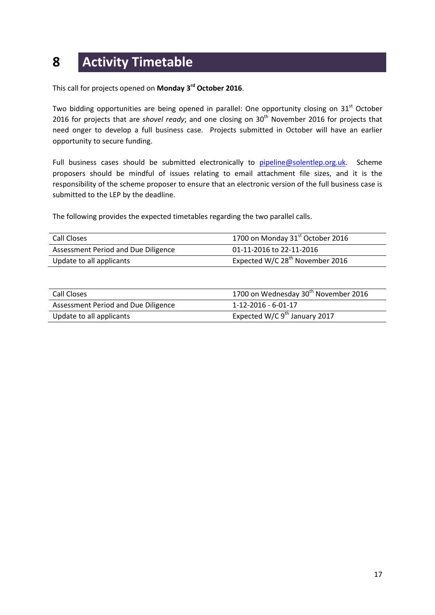### **8 Activity Timetable**

This call for projects opened on **Monday 3rd October 2016**.

Two bidding opportunities are being opened in parallel: One opportunity closing on 31<sup>st</sup> October 2016 for projects that are *shovel ready*; and one closing on 30<sup>th</sup> November 2016 for projects that need onger to develop a full business case. Projects submitted in October will have an earlier opportunity to secure funding.

Full business cases should be submitted electronically to [pipeline@solentlep.org.uk.](mailto:pipeline@solentlep.org.uk) Scheme proposers should be mindful of issues relating to email attachment file sizes, and it is the responsibility of the scheme proposer to ensure that an electronic version of the full business case is submitted to the LEP by the deadline.

The following provides the expected timetables regarding the two parallel calls.

| Call Closes                         | 1700 on Monday 31 <sup>st</sup> October 2016 |
|-------------------------------------|----------------------------------------------|
| Assessment Period and Due Diligence | 01-11-2016 to 22-11-2016                     |
| Update to all applicants            | Expected W/C 28 <sup>th</sup> November 2016  |

| Call Closes                         | 1700 on Wednesday 30 <sup>th</sup> November 2016 |
|-------------------------------------|--------------------------------------------------|
| Assessment Period and Due Diligence | 1-12-2016 - 6-01-17                              |
| Update to all applicants            | Expected W/C $9th$ January 2017                  |